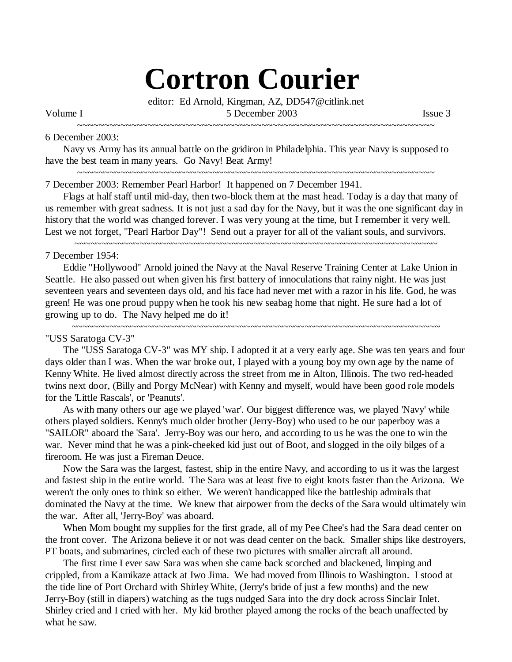# **Cortron Courier**

editor: Ed Arnold, Kingman, AZ, DD547@citlink.net Volume I 5 December 2003 Issue 3

~~~~~~~~~~~~~~~~~~~~~~~~~~~~~~~~~~~~~~~~~~~~~~~~~~~~~~~~~~~~~~~~~~

# 6 December 2003:

Navy vs Army has its annual battle on the gridiron in Philadelphia. This year Navy is supposed to have the best team in many years. Go Navy! Beat Army! ~~~~~~~~~~~~~~~~~~~~~~~~~~~~~~~~~~~~~~~~~~~~~~~~~~~~~~~~~~~~~~~~~~

7 December 2003: Remember Pearl Harbor! It happened on 7 December 1941.

Flags at half staff until mid-day, then two-block them at the mast head. Today is a day that many of us remember with great sadness. It is not just a sad day for the Navy, but it was the one significant day in history that the world was changed forever. I was very young at the time, but I remember it very well. Lest we not forget, "Pearl Harbor Day"! Send out a prayer for all of the valiant souls, and survivors.

~~~~~~~~~~~~~~~~~~~~~~~~~~~~~~~~~~~~~~~~~~~~~~~~~~~~~~~~~~~~~~~~~~~

# 7 December 1954:

Eddie "Hollywood" Arnold joined the Navy at the Naval Reserve Training Center at Lake Union in Seattle. He also passed out when given his first battery of innoculations that rainy night. He was just seventeen years and seventeen days old, and his face had never met with a razor in his life. God, he was green! He was one proud puppy when he took his new seabag home that night. He sure had a lot of growing up to do. The Navy helped me do it! ~~~~~~~~~~~~~~~~~~~~~~~~~~~~~~~~~~~~~~~~~~~~~~~~~~~~~~~~~~~~~~~~~~~~

## "USS Saratoga CV-3"

The "USS Saratoga CV-3" was MY ship. I adopted it at a very early age. She was ten years and four days older than I was. When the war broke out, I played with a young boy my own age by the name of Kenny White. He lived almost directly across the street from me in Alton, Illinois. The two red-headed twins next door, (Billy and Porgy McNear) with Kenny and myself, would have been good role models for the 'Little Rascals', or 'Peanuts'.

As with many others our age we played 'war'. Our biggest difference was, we played 'Navy' while others played soldiers. Kenny's much older brother (Jerry-Boy) who used to be our paperboy was a "SAILOR" aboard the 'Sara'. Jerry-Boy was our hero, and according to us he was the one to win the war. Never mind that he was a pink-cheeked kid just out of Boot, and slogged in the oily bilges of a fireroom. He was just a Fireman Deuce.

Now the Sara was the largest, fastest, ship in the entire Navy, and according to us it was the largest and fastest ship in the entire world. The Sara was at least five to eight knots faster than the Arizona. We weren't the only ones to think so either. We weren't handicapped like the battleship admirals that dominated the Navy at the time. We knew that airpower from the decks of the Sara would ultimately win the war. After all, 'Jerry-Boy' was aboard.

When Mom bought my supplies for the first grade, all of my Pee Chee's had the Sara dead center on the front cover. The Arizona believe it or not was dead center on the back. Smaller ships like destroyers, PT boats, and submarines, circled each of these two pictures with smaller aircraft all around.

The first time I ever saw Sara was when she came back scorched and blackened, limping and crippled, from a Kamikaze attack at Iwo Jima. We had moved from Illinois to Washington. I stood at the tide line of Port Orchard with Shirley White, (Jerry's bride of just a few months) and the new Jerry-Boy (still in diapers) watching as the tugs nudged Sara into the dry dock across Sinclair Inlet. Shirley cried and I cried with her. My kid brother played among the rocks of the beach unaffected by what he saw.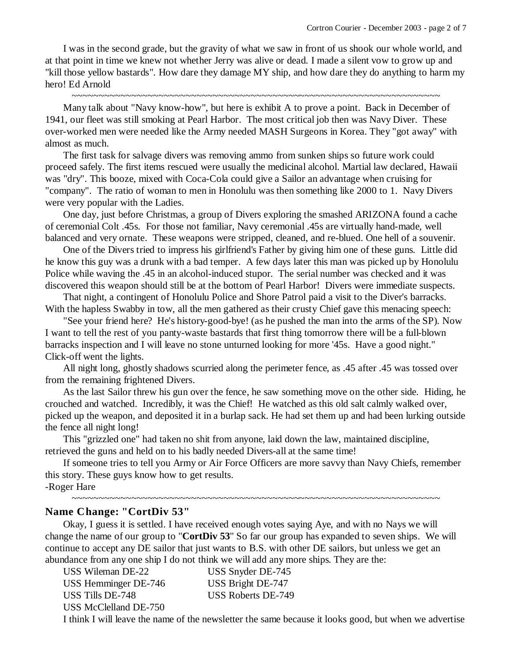I was in the second grade, but the gravity of what we saw in front of us shook our whole world, and at that point in time we knew not whether Jerry was alive or dead. I made a silent vow to grow up and "kill those yellow bastards". How dare they damage MY ship, and how dare they do anything to harm my hero! Ed Arnold

~~~~~~~~~~~~~~~~~~~~~~~~~~~~~~~~~~~~~~~~~~~~~~~~~~~~~~~~~~~~~~~~~~~~

Many talk about "Navy know-how", but here is exhibit A to prove a point. Back in December of 1941, our fleet was still smoking at Pearl Harbor. The most critical job then was Navy Diver. These over-worked men were needed like the Army needed MASH Surgeons in Korea. They "got away" with almost as much.

The first task for salvage divers was removing ammo from sunken ships so future work could proceed safely. The first items rescued were usually the medicinal alcohol. Martial law declared, Hawaii was "dry". This booze, mixed with Coca-Cola could give a Sailor an advantage when cruising for "company". The ratio of woman to men in Honolulu was then something like 2000 to 1. Navy Divers were very popular with the Ladies.

One day, just before Christmas, a group of Divers exploring the smashed ARIZONA found a cache of ceremonial Colt .45s. For those not familiar, Navy ceremonial .45s are virtually hand-made, well balanced and very ornate. These weapons were stripped, cleaned, and re-blued. One hell of a souvenir.

One of the Divers tried to impress his girlfriend's Father by giving him one of these guns. Little did he know this guy was a drunk with a bad temper. A few days later this man was picked up by Honolulu Police while waving the .45 in an alcohol-induced stupor. The serial number was checked and it was discovered this weapon should still be at the bottom of Pearl Harbor! Divers were immediate suspects.

That night, a contingent of Honolulu Police and Shore Patrol paid a visit to the Diver's barracks. With the hapless Swabby in tow, all the men gathered as their crusty Chief gave this menacing speech:

"See your friend here? He's history-good-bye! (as he pushed the man into the arms of the SP). Now I want to tell the rest of you panty-waste bastards that first thing tomorrow there will be a full-blown barracks inspection and I will leave no stone unturned looking for more '45s. Have a good night." Click-off went the lights.

All night long, ghostly shadows scurried along the perimeter fence, as .45 after .45 was tossed over from the remaining frightened Divers.

As the last Sailor threw his gun over the fence, he saw something move on the other side. Hiding, he crouched and watched. Incredibly, it was the Chief! He watched as this old salt calmly walked over, picked up the weapon, and deposited it in a burlap sack. He had set them up and had been lurking outside the fence all night long!

This "grizzled one" had taken no shit from anyone, laid down the law, maintained discipline, retrieved the guns and held on to his badly needed Divers-all at the same time!

If someone tries to tell you Army or Air Force Officers are more savvy than Navy Chiefs, remember this story. These guys know how to get results. -Roger Hare

~~~~~~~~~~~~~~~~~~~~~~~~~~~~~~~~~~~~~~~~~~~~~~~~~~~~~~~~~~~~~~~~~~~~

## **Name Change: "CortDiv 53"**

Okay, I guess it is settled. I have received enough votes saying Aye, and with no Nays we will change the name of our group to "**CortDiv 53**" So far our group has expanded to seven ships. We will continue to accept any DE sailor that just wants to B.S. with other DE sailors, but unless we get an abundance from any one ship I do not think we will add any more ships. They are the:

| USS Wileman DE-22     | USS Snyder DE-745  |
|-----------------------|--------------------|
| USS Hemminger DE-746  | USS Bright DE-747  |
| USS Tills DE-748      | USS Roberts DE-749 |
| USS McClelland DE-750 |                    |
|                       |                    |

I think I will leave the name of the newsletter the same because it looks good, but when we advertise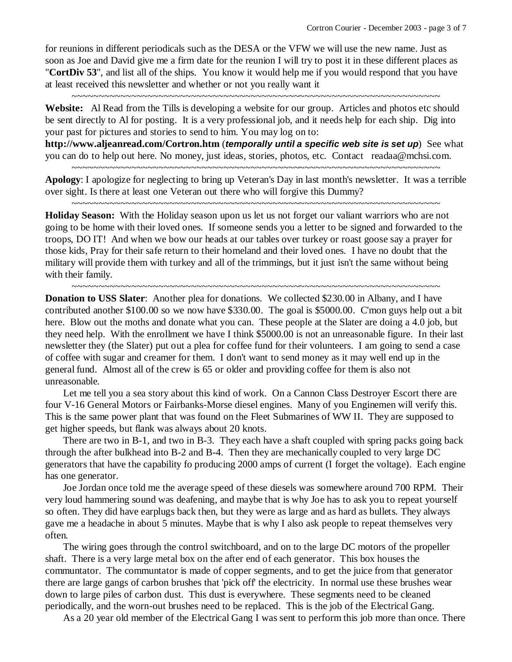for reunions in different periodicals such as the DESA or the VFW we will use the new name. Just as soon as Joe and David give me a firm date for the reunion I will try to post it in these different places as "**CortDiv 53**", and list all of the ships. You know it would help me if you would respond that you have at least received this newsletter and whether or not you really want it

**Website:** Al Read from the Tills is developing a website for our group. Articles and photos etc should be sent directly to Al for posting. It is a very professional job, and it needs help for each ship. Dig into your past for pictures and stories to send to him. You may log on to:

~~~~~~~~~~~~~~~~~~~~~~~~~~~~~~~~~~~~~~~~~~~~~~~~~~~~~~~~~~~~~~~~~~~~

**http://www.aljeanread.com/Cortron.htm** (*temporally until a specific web site is set up*) See what you can do to help out here. No money, just ideas, stories, photos, etc. Contact readaa@mchsi.com. ~~~~~~~~~~~~~~~~~~~~~~~~~~~~~~~~~~~~~~~~~~~~~~~~~~~~~~~~~~~~~~~~~~~~

**Apology**: I apologize for neglecting to bring up Veteran's Day in last month's newsletter. It was a terrible over sight. Is there at least one Veteran out there who will forgive this Dummy? ~~~~~~~~~~~~~~~~~~~~~~~~~~~~~~~~~~~~~~~~~~~~~~~~~~~~~~~~~~~~~~~~~~~~

**Holiday Season:** With the Holiday season upon us let us not forget our valiant warriors who are not going to be home with their loved ones. If someone sends you a letter to be signed and forwarded to the troops, DO IT! And when we bow our heads at our tables over turkey or roast goose say a prayer for those kids, Pray for their safe return to their homeland and their loved ones. I have no doubt that the military will provide them with turkey and all of the trimmings, but it just isn't the same without being with their family.

~~~~~~~~~~~~~~~~~~~~~~~~~~~~~~~~~~~~~~~~~~~~~~~~~~~~~~~~~~~~~~~~~~~~

**Donation to USS Slater**: Another plea for donations. We collected \$230.00 in Albany, and I have contributed another \$100.00 so we now have \$330.00. The goal is \$5000.00. C'mon guys help out a bit here. Blow out the moths and donate what you can. These people at the Slater are doing a 4.0 job, but they need help. With the enrollment we have I think \$5000.00 is not an unreasonable figure. In their last newsletter they (the Slater) put out a plea for coffee fund for their volunteers. I am going to send a case of coffee with sugar and creamer for them. I don't want to send money as it may well end up in the general fund. Almost all of the crew is 65 or older and providing coffee for them is also not unreasonable.

Let me tell you a sea story about this kind of work. On a Cannon Class Destroyer Escort there are four V-16 General Motors or Fairbanks-Morse diesel engines. Many of you Enginemen will verify this. This is the same power plant that was found on the Fleet Submarines of WW II. They are supposed to get higher speeds, but flank was always about 20 knots.

There are two in B-1, and two in B-3. They each have a shaft coupled with spring packs going back through the after bulkhead into B-2 and B-4. Then they are mechanically coupled to very large DC generators that have the capability fo producing 2000 amps of current (I forget the voltage). Each engine has one generator.

Joe Jordan once told me the average speed of these diesels was somewhere around 700 RPM. Their very loud hammering sound was deafening, and maybe that is why Joe has to ask you to repeat yourself so often. They did have earplugs back then, but they were as large and as hard as bullets. They always gave me a headache in about 5 minutes. Maybe that is why I also ask people to repeat themselves very often.

The wiring goes through the control switchboard, and on to the large DC motors of the propeller shaft. There is a very large metal box on the after end of each generator. This box houses the communtator. The communtator is made of copper segments, and to get the juice from that generator there are large gangs of carbon brushes that 'pick off' the electricity. In normal use these brushes wear down to large piles of carbon dust. This dust is everywhere. These segments need to be cleaned periodically, and the worn-out brushes need to be replaced. This is the job of the Electrical Gang.

As a 20 year old member of the Electrical Gang I was sent to perform this job more than once. There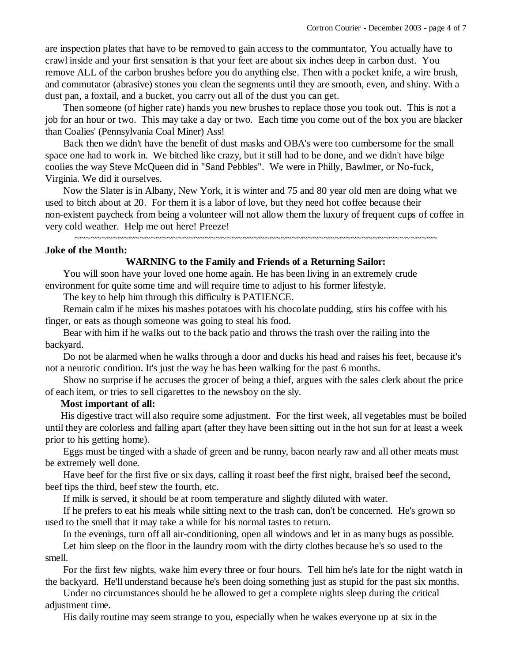are inspection plates that have to be removed to gain access to the communtator, You actually have to crawl inside and your first sensation is that your feet are about six inches deep in carbon dust. You remove ALL of the carbon brushes before you do anything else. Then with a pocket knife, a wire brush, and commutator (abrasive) stones you clean the segments until they are smooth, even, and shiny. With a dust pan, a foxtail, and a bucket, you carry out all of the dust you can get.

Then someone (of higher rate) hands you new brushes to replace those you took out. This is not a job for an hour or two. This may take a day or two. Each time you come out of the box you are blacker than Coalies' (Pennsylvania Coal Miner) Ass!

Back then we didn't have the benefit of dust masks and OBA's were too cumbersome for the small space one had to work in. We bitched like crazy, but it still had to be done, and we didn't have bilge coolies the way Steve McQueen did in "Sand Pebbles". We were in Philly, Bawlmer, or No-fuck, Virginia. We did it ourselves.

Now the Slater is in Albany, New York, it is winter and 75 and 80 year old men are doing what we used to bitch about at 20. For them it is a labor of love, but they need hot coffee because their non-existent paycheck from being a volunteer will not allow them the luxury of frequent cups of coffee in very cold weather. Help me out here! Preeze!

~~~~~~~~~~~~~~~~~~~~~~~~~~~~~~~~~~~~~~~~~~~~~~~~~~~~~~~~~~~~~~~~~~~

#### **Joke of the Month:**

## **WARNING to the Family and Friends of a Returning Sailor:**

You will soon have your loved one home again. He has been living in an extremely crude environment for quite some time and will require time to adjust to his former lifestyle.

The key to help him through this difficulty is PATIENCE.

Remain calm if he mixes his mashes potatoes with his chocolate pudding, stirs his coffee with his finger, or eats as though someone was going to steal his food.

Bear with him if he walks out to the back patio and throws the trash over the railing into the backyard.

Do not be alarmed when he walks through a door and ducks his head and raises his feet, because it's not a neurotic condition. It's just the way he has been walking for the past 6 months.

Show no surprise if he accuses the grocer of being a thief, argues with the sales clerk about the price of each item, or tries to sell cigarettes to the newsboy on the sly.

## **Most important of all:**

 His digestive tract will also require some adjustment. For the first week, all vegetables must be boiled until they are colorless and falling apart (after they have been sitting out in the hot sun for at least a week prior to his getting home).

Eggs must be tinged with a shade of green and be runny, bacon nearly raw and all other meats must be extremely well done.

Have beef for the first five or six days, calling it roast beef the first night, braised beef the second, beef tips the third, beef stew the fourth, etc.

If milk is served, it should be at room temperature and slightly diluted with water.

If he prefers to eat his meals while sitting next to the trash can, don't be concerned. He's grown so used to the smell that it may take a while for his normal tastes to return.

In the evenings, turn off all air-conditioning, open all windows and let in as many bugs as possible. Let him sleep on the floor in the laundry room with the dirty clothes because he's so used to the smell.

For the first few nights, wake him every three or four hours. Tell him he's late for the night watch in the backyard. He'll understand because he's been doing something just as stupid for the past six months.

Under no circumstances should he be allowed to get a complete nights sleep during the critical adjustment time.

His daily routine may seem strange to you, especially when he wakes everyone up at six in the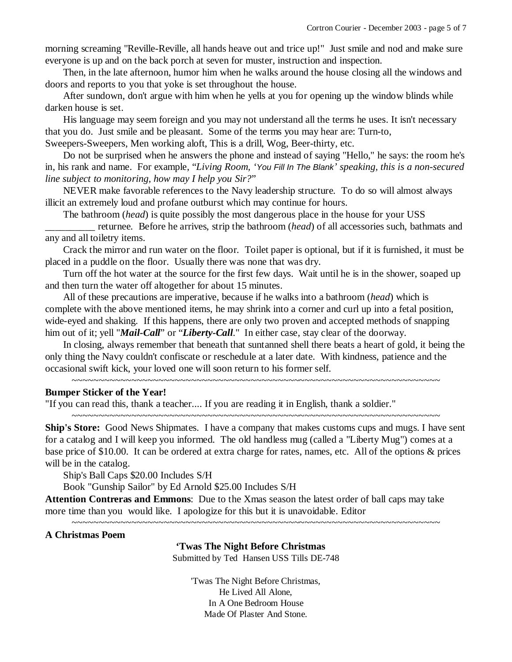morning screaming "Reville-Reville, all hands heave out and trice up!" Just smile and nod and make sure everyone is up and on the back porch at seven for muster, instruction and inspection.

Then, in the late afternoon, humor him when he walks around the house closing all the windows and doors and reports to you that yoke is set throughout the house.

After sundown, don't argue with him when he yells at you for opening up the window blinds while darken house is set.

His language may seem foreign and you may not understand all the terms he uses. It isn't necessary that you do. Just smile and be pleasant. Some of the terms you may hear are: Turn-to,

Sweepers-Sweepers, Men working aloft, This is a drill, Wog, Beer-thirty, etc.

Do not be surprised when he answers the phone and instead of saying "Hello," he says: the room he's in, his rank and name. For example, "*Living Room, 'You Fill In The Blank' speaking, this is a non-secured line subject to monitoring, how may I help you Sir?*"

NEVER make favorable references to the Navy leadership structure. To do so will almost always illicit an extremely loud and profane outburst which may continue for hours.

The bathroom (*head*) is quite possibly the most dangerous place in the house for your USS

\_\_\_\_\_\_\_\_\_\_ returnee. Before he arrives, strip the bathroom (*head*) of all accessories such, bathmats and any and all toiletry items.

Crack the mirror and run water on the floor. Toilet paper is optional, but if it is furnished, it must be placed in a puddle on the floor. Usually there was none that was dry.

Turn off the hot water at the source for the first few days. Wait until he is in the shower, soaped up and then turn the water off altogether for about 15 minutes.

All of these precautions are imperative, because if he walks into a bathroom (*head*) which is complete with the above mentioned items, he may shrink into a corner and curl up into a fetal position, wide-eyed and shaking. If this happens, there are only two proven and accepted methods of snapping him out of it; yell "*Mail-Call*" or "*Liberty-Call*." In either case, stay clear of the doorway.

In closing, always remember that beneath that suntanned shell there beats a heart of gold, it being the only thing the Navy couldn't confiscate or reschedule at a later date. With kindness, patience and the occasional swift kick, your loved one will soon return to his former self.

~~~~~~~~~~~~~~~~~~~~~~~~~~~~~~~~~~~~~~~~~~~~~~~~~~~~~~~~~~~~~~~~~~~~

# **Bumper Sticker of the Year!**

"If you can read this, thank a teacher.... If you are reading it in English, thank a soldier."

**Ship's Store:** Good News Shipmates. I have a company that makes customs cups and mugs. I have sent for a catalog and I will keep you informed. The old handless mug (called a "Liberty Mug") comes at a base price of \$10.00. It can be ordered at extra charge for rates, names, etc. All of the options & prices will be in the catalog.

~~~~~~~~~~~~~~~~~~~~~~~~~~~~~~~~~~~~~~~~~~~~~~~~~~~~~~~~~~~~~~~~~~~~

Ship's Ball Caps \$20.00 Includes S/H

Book "Gunship Sailor" by Ed Arnold \$25.00 Includes S/H

**Attention Contreras and Emmons**: Due to the Xmas season the latest order of ball caps may take more time than you would like. I apologize for this but it is unavoidable. Editor

#### **A Christmas Poem**

**'Twas The Night Before Christmas** 

~~~~~~~~~~~~~~~~~~~~~~~~~~~~~~~~~~~~~~~~~~~~~~~~~~~~~~~~~~~~~~~~~~~~

Submitted by Ted Hansen USS Tills DE-748

'Twas The Night Before Christmas, He Lived All Alone, In A One Bedroom House Made Of Plaster And Stone.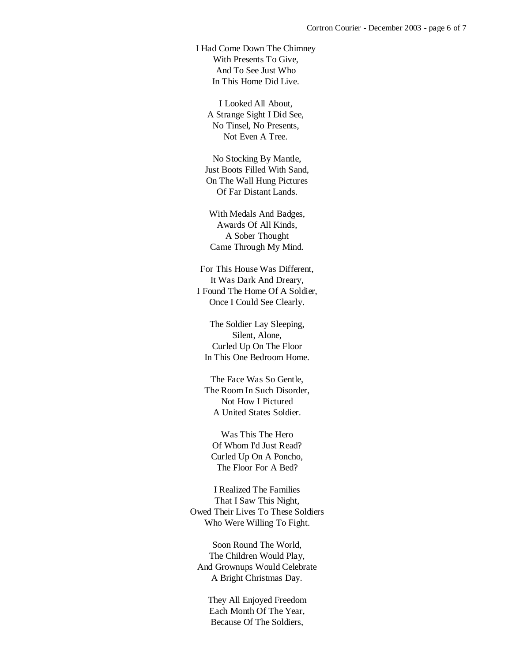I Had Come Down The Chimney With Presents To Give, And To See Just Who In This Home Did Live.

I Looked All About, A Strange Sight I Did See, No Tinsel, No Presents, Not Even A Tree.

 No Stocking By Mantle, Just Boots Filled With Sand, On The Wall Hung Pictures Of Far Distant Lands.

 With Medals And Badges, Awards Of All Kinds, A Sober Thought Came Through My Mind.

 For This House Was Different, It Was Dark And Dreary, I Found The Home Of A Soldier, Once I Could See Clearly.

 The Soldier Lay Sleeping, Silent, Alone, Curled Up On The Floor In This One Bedroom Home.

 The Face Was So Gentle, The Room In Such Disorder, Not How I Pictured A United States Soldier.

 Was This The Hero Of Whom I'd Just Read? Curled Up On A Poncho, The Floor For A Bed?

 I Realized The Families That I Saw This Night, Owed Their Lives To These Soldiers Who Were Willing To Fight.

 Soon Round The World, The Children Would Play, And Grownups Would Celebrate A Bright Christmas Day.

 They All Enjoyed Freedom Each Month Of The Year, Because Of The Soldiers,